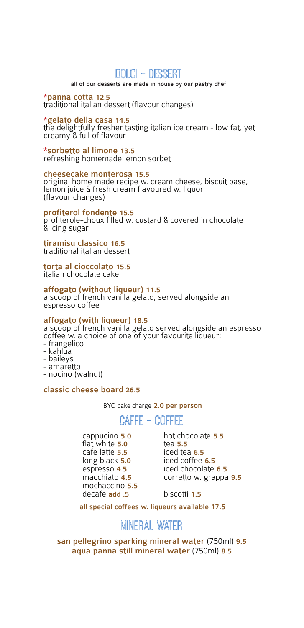### DOLCI - DESSERT

all of our desserts are made in house by our pastry chef

\*panna cotta 12.5 traditional italian dessert (flavour changes)

#### \*gelato della casa 14.5

the delightfully fresher tasting italian ice cream - low fat, yet creamy & full of flavour

\*sorbetto al limone 13.5 refreshing homemade lemon sorbet

cheesecake monterosa 15.5

original home made recipe w. cream cheese, biscuit base, lemon juice & fresh cream flavoured w. liquor (flavour changes)

profiterol fondente 15.5 profiterole-choux filled w. custard & covered in chocolate & icing sugar

tiramisu classico 16.5 traditional italian dessert

torta al cioccolato 15.5 italian chocolate cake

affogato (without liqueur) 11.5 a scoop of french vanilla gelato, served alongside an espresso coffee

#### affogato (with liqueur) 18.5

a scoop of french vanilla gelato served alongside an espresso coffee w. a choice of one of your favourite liqueur: - frangelico

- kahlua
- baileys
- amaretto
- nocino (walnut)

### classic cheese board 26.5

BYO cake charge 2.0 per person

### caffe - coffee

cappucino 5.0 flat white 5.0 cafe latte 5.5 long black 5.0 espresso 4.5 macchiato 4.5 mochaccino 5.5 decafe add .5

hot chocolate 5.5 tea 5.5 iced tea 6.5 iced coffee 6.5 iced chocolate 6.5 corretto w. grappa 9.5 -

biscotti 1.5

all special coffees w. liqueurs available 17.5

## MINERAL WATER

san pellegrino sparking mineral water (750ml) 9.5 aqua panna still mineral water (750ml) 8.5